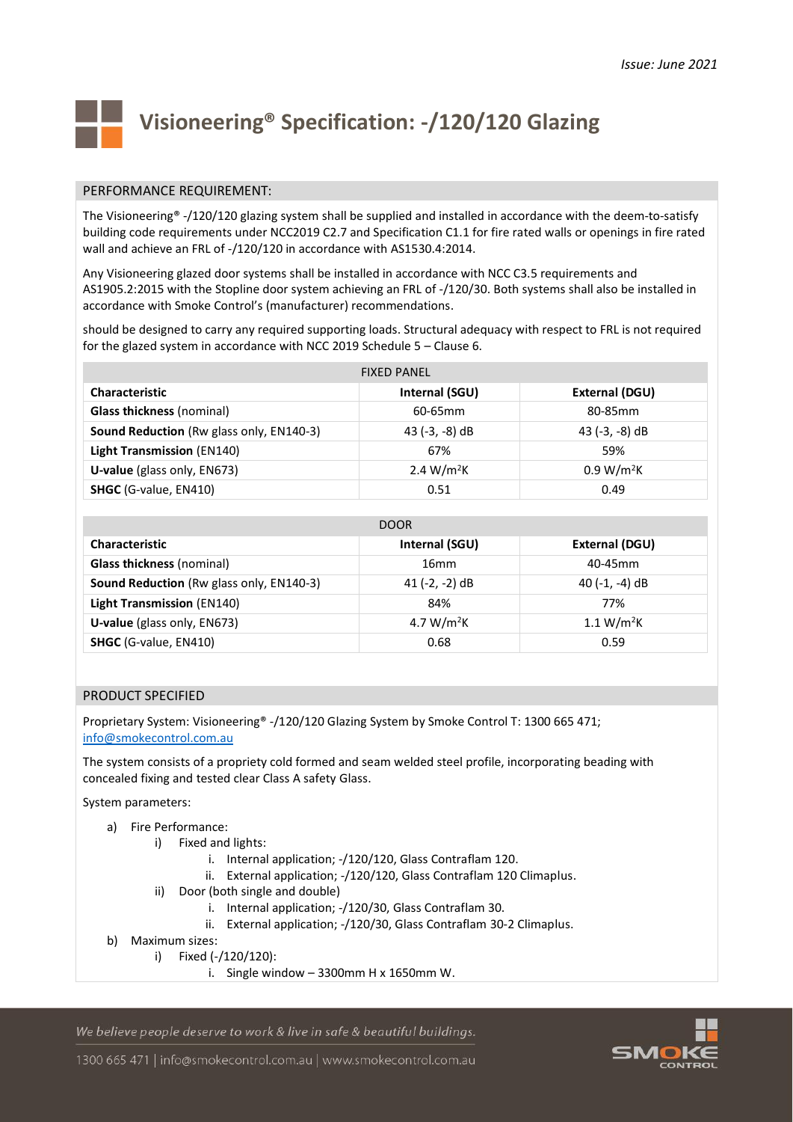

# **Visioneering® Specification: -/120/120 Glazing**

# PERFORMANCE REQUIREMENT:

The Visioneering® -/120/120 glazing system shall be supplied and installed in accordance with the deem-to-satisfy building code requirements under NCC2019 C2.7 and Specification C1.1 for fire rated walls or openings in fire rated wall and achieve an FRL of -/120/120 in accordance with AS1530.4:2014.

Any Visioneering glazed door systems shall be installed in accordance with NCC C3.5 requirements and AS1905.2:2015 with the Stopline door system achieving an FRL of -/120/30. Both systems shall also be installed in accordance with Smoke Control's (manufacturer) recommendations.

should be designed to carry any required supporting loads. Structural adequacy with respect to FRL is not required for the glazed system in accordance with NCC 2019 Schedule 5 – Clause 6.

| <b>FIXED PANEL</b>                       |                        |                        |
|------------------------------------------|------------------------|------------------------|
| <b>Characteristic</b>                    | Internal (SGU)         | External (DGU)         |
| <b>Glass thickness (nominal)</b>         | 60-65mm                | 80-85mm                |
| Sound Reduction (Rw glass only, EN140-3) | 43 $(-3, -8)$ dB       | 43 $(-3, -8)$ dB       |
| <b>Light Transmission (EN140)</b>        | 67%                    | 59%                    |
| U-value (glass only, EN673)              | 2.4 W/m <sup>2</sup> K | 0.9 W/m <sup>2</sup> K |
| <b>SHGC</b> (G-value, EN410)             | 0.51                   | 0.49                   |

| <b>DOOR</b>                              |                        |                        |  |
|------------------------------------------|------------------------|------------------------|--|
| Characteristic                           | Internal (SGU)         | External (DGU)         |  |
| <b>Glass thickness (nominal)</b>         | 16 <sub>mm</sub>       | $40-45$ mm             |  |
| Sound Reduction (Rw glass only, EN140-3) | 41 $(-2, -2)$ dB       | 40 $(-1, -4)$ dB       |  |
| <b>Light Transmission (EN140)</b>        | 84%                    | 77%                    |  |
| U-value (glass only, EN673)              | 4.7 W/m <sup>2</sup> K | 1.1 W/m <sup>2</sup> K |  |
| <b>SHGC</b> (G-value, EN410)             | 0.68                   | 0.59                   |  |

# PRODUCT SPECIFIED

Proprietary System: Visioneering® -/120/120 Glazing System by Smoke Control T: 1300 665 471; [info@smokecontrol.com.au](mailto:info@smokecontrol.com.au)

The system consists of a propriety cold formed and seam welded steel profile, incorporating beading with concealed fixing and tested clear Class A safety Glass.

System parameters:

- a) Fire Performance:
	- i) Fixed and lights:
		- i. Internal application; -/120/120, Glass Contraflam 120.
		- ii. External application; -/120/120, Glass Contraflam 120 Climaplus.
		- ii) Door (both single and double)
			- i. Internal application; -/120/30, Glass Contraflam 30.
			- ii. External application; -/120/30, Glass Contraflam 30-2 Climaplus.
- b) Maximum sizes:
	- i) Fixed (-/120/120):
		- i. Single window  $-3300$ mm H x 1650mm W.

We believe people deserve to work & live in safe & beautiful buildings.

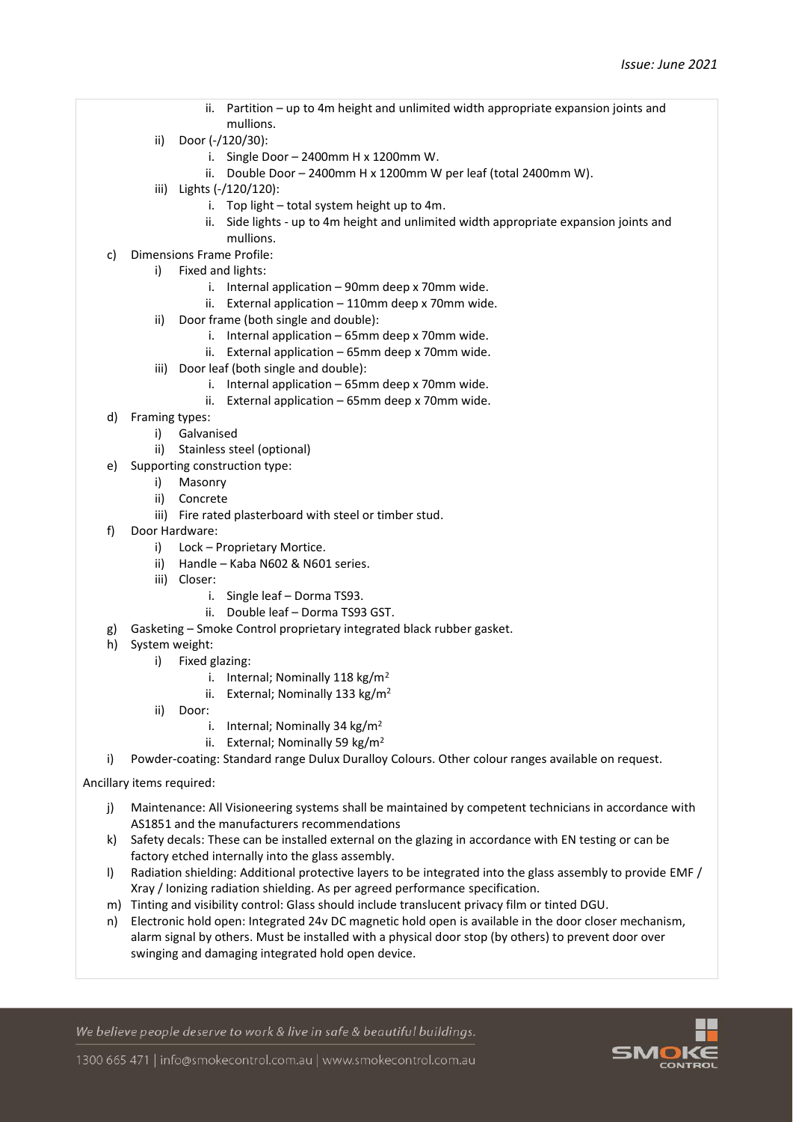- ii. Partition up to 4m height and unlimited width appropriate expansion joints and mullions.
- ii) Door (-/120/30):
	- i. Single Door 2400mm H x 1200mm W.
	- ii. Double Door 2400mm H x 1200mm W per leaf (total 2400mm W).
- iii) Lights (-/120/120):
	- i. Top light total system height up to 4m.
	- ii. Side lights up to 4m height and unlimited width appropriate expansion joints and mullions.
- c) Dimensions Frame Profile:
	- i) Fixed and lights:
		- i. Internal application 90mm deep x 70mm wide.
		- ii. External application 110mm deep x 70mm wide.
	- ii) Door frame (both single and double):
		- i. Internal application 65mm deep x 70mm wide.
		- ii. External application 65mm deep x 70mm wide.
	- iii) Door leaf (both single and double):
		- i. Internal application 65mm deep x 70mm wide.
		- ii. External application 65mm deep x 70mm wide.
- d) Framing types:
	- i) Galvanised
	- ii) Stainless steel (optional)
- e) Supporting construction type:
	- i) Masonry
	- ii) Concrete
	- iii) Fire rated plasterboard with steel or timber stud.
- f) Door Hardware:
	- i) Lock Proprietary Mortice.
	- ii) Handle Kaba N602 & N601 series.
	- iii) Closer:
		- i. Single leaf Dorma TS93.
		- ii. Double leaf Dorma TS93 GST.
- g) Gasketing Smoke Control proprietary integrated black rubber gasket.
- h) System weight:
	- i) Fixed glazing:
		- i. Internal; Nominally 118 kg/m<sup>2</sup>
		- ii. External; Nominally 133 kg/m<sup>2</sup>
		- ii) Door:
			- i. Internal; Nominally 34 kg/m<sup>2</sup>
			- ii. External; Nominally 59 kg/m<sup>2</sup>
- i) Powder-coating: Standard range Dulux Duralloy Colours. Other colour ranges available on request.
- Ancillary items required:
	- j) Maintenance: All Visioneering systems shall be maintained by competent technicians in accordance with AS1851 and the manufacturers recommendations
	- k) Safety decals: These can be installed external on the glazing in accordance with EN testing or can be factory etched internally into the glass assembly.
	- l) Radiation shielding: Additional protective layers to be integrated into the glass assembly to provide EMF / Xray / Ionizing radiation shielding. As per agreed performance specification.
	- m) Tinting and visibility control: Glass should include translucent privacy film or tinted DGU.
	- n) Electronic hold open: Integrated 24v DC magnetic hold open is available in the door closer mechanism, alarm signal by others. Must be installed with a physical door stop (by others) to prevent door over swinging and damaging integrated hold open device.

We believe people deserve to work & live in safe & beautiful buildings.